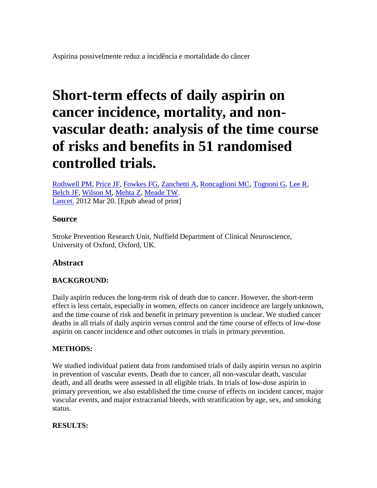# **Short-term effects of daily aspirin on cancer incidence, mortality, and nonvascular death: analysis of the time course of risks and benefits in 51 randomised controlled trials.**

[Rothwell PM,](http://www.ncbi.nlm.nih.gov/pubmed?term=%22Rothwell%20PM%22%5BAuthor%5D) [Price JF,](http://www.ncbi.nlm.nih.gov/pubmed?term=%22Price%20JF%22%5BAuthor%5D) [Fowkes FG,](http://www.ncbi.nlm.nih.gov/pubmed?term=%22Fowkes%20FG%22%5BAuthor%5D) [Zanchetti A,](http://www.ncbi.nlm.nih.gov/pubmed?term=%22Zanchetti%20A%22%5BAuthor%5D) [Roncaglioni MC,](http://www.ncbi.nlm.nih.gov/pubmed?term=%22Roncaglioni%20MC%22%5BAuthor%5D) [Tognoni G,](http://www.ncbi.nlm.nih.gov/pubmed?term=%22Tognoni%20G%22%5BAuthor%5D) [Lee R,](http://www.ncbi.nlm.nih.gov/pubmed?term=%22Lee%20R%22%5BAuthor%5D) [Belch JF,](http://www.ncbi.nlm.nih.gov/pubmed?term=%22Belch%20JF%22%5BAuthor%5D) [Wilson M,](http://www.ncbi.nlm.nih.gov/pubmed?term=%22Wilson%20M%22%5BAuthor%5D) [Mehta Z,](http://www.ncbi.nlm.nih.gov/pubmed?term=%22Mehta%20Z%22%5BAuthor%5D) [Meade TW.](http://www.ncbi.nlm.nih.gov/pubmed?term=%22Meade%20TW%22%5BAuthor%5D) [Lancet.](http://www.ncbi.nlm.nih.gov/pubmed/22440946##) 2012 Mar 20. [Epub ahead of print]

# **Source**

Stroke Prevention Research Unit, Nuffield Department of Clinical Neuroscience, University of Oxford, Oxford, UK.

# **Abstract**

# **BACKGROUND:**

Daily aspirin reduces the long-term risk of death due to cancer. However, the short-term effect is less certain, especially in women, effects on cancer incidence are largely unknown, and the time course of risk and benefit in primary prevention is unclear. We studied cancer deaths in all trials of daily aspirin versus control and the time course of effects of low-dose aspirin on cancer incidence and other outcomes in trials in primary prevention.

### **METHODS:**

We studied individual patient data from randomised trials of daily aspirin versus no aspirin in prevention of vascular events. Death due to cancer, all non-vascular death, vascular death, and all deaths were assessed in all eligible trials. In trials of low-dose aspirin in primary prevention, we also established the time course of effects on incident cancer, major vascular events, and major extracranial bleeds, with stratification by age, sex, and smoking status.

# **RESULTS:**